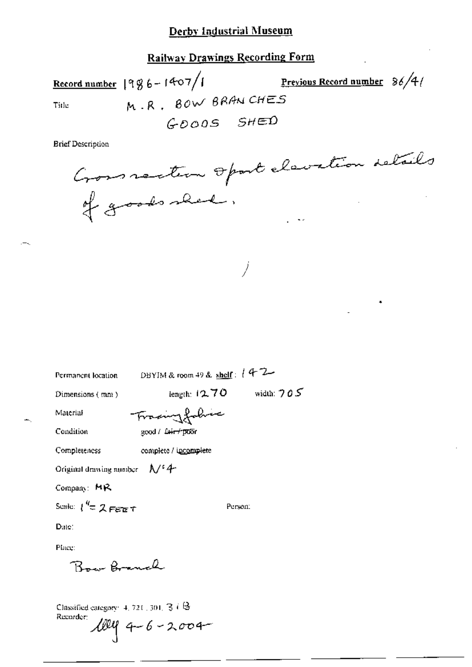**Railway Drawings Recording Form** 

Record number  $|996 - 1407|$ Previous Record number 36/4/ M.R. BOW BRANCHES Title GOODS SHED

**Brief Description** 

Gommeter opart clavation details

Permanent location

DBYIM & room 49 & shelf:  $142$ 

length:  $12.70$  width:  $705$ 

Person:

Dimensions (mm)

Trading Johns

Material Condition

Completeness

good / fair / poor

complete / incomplete

Original drawing number  $A/4$ 

Company: MR

Scale:  $\int_0^{q} \tau Z F e^{\tau} d\tau$ 

Date:

Place:

Bow Branch

Classified category:  $4, 721, 301, 36$ Recorder:  $1049 - 6 - 2004$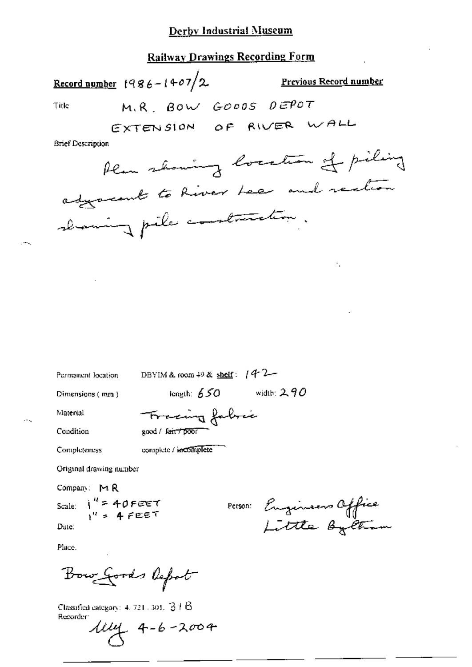# **Railway Drawings Recording Form**

|                   | Record number $1986 - 1407/2$ | <b>Previous Record number</b>     |
|-------------------|-------------------------------|-----------------------------------|
| Title             | M.R. BOW GOODS DEPOT          |                                   |
|                   | EXTENSION OF RIVER WALL       |                                   |
| Brief Description |                               |                                   |
|                   |                               | Alan showing location of piling   |
|                   |                               | adjacent to River Lee and rection |
|                   | chaning pile contraction.     |                                   |
|                   |                               |                                   |

Permanent location

DBYIM & room 49 & shelf:  $442-$ 

Dimensions (mm)

length:  $650$  width: 290

Material

Condition

Completeness

Tracing fabric good / fair7poor

complete / uncomplete

Original drawing number

Company: MR

Scale:  $i'' = 40$ FEET Date:

Person: Engineers Office<br>Little Byttiam

Place.

Bow Goods Report

Classified category:  $4.721$ , 301,  $31.6$ Recorder:

 $114 + 4 - 6 - 2004$ 

 $-$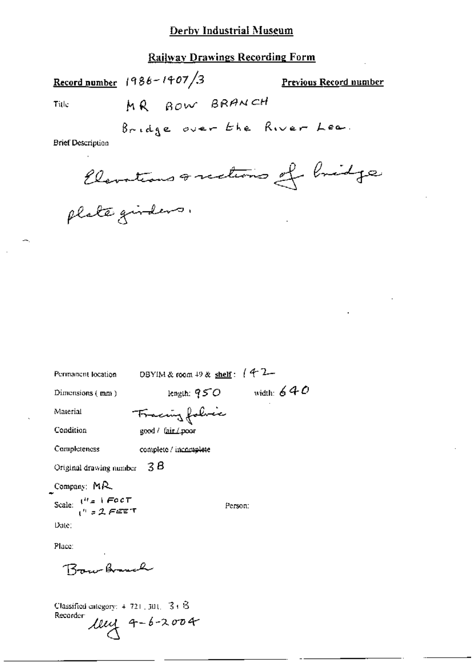# **Railway Drawings Recording Form**

Record number  $1986 - 1407/3$ **Previous Record number** MR BOW BRANCH Title

**Brief Description** 

plate girdens.

| Permanent location                                    | DBYIM & room $+9$ & shelf: $(4^2-$ |
|-------------------------------------------------------|------------------------------------|
| Dimensions $(mn)$                                     | length: $950$ width: $640$         |
| Material                                              | Fraccing folice                    |
| Condition                                             | good / fair / poor                 |
| Completeness                                          | complete / incomplete              |
| Original drawing number                               | - 3 B                              |
| Company: MR                                           |                                    |
| Scale: $\binom{n}{1}$ = 1 FOCT<br>$\binom{n}{2}$ FEET | Person:                            |
| Date:                                                 |                                    |
| Place:                                                |                                    |
| Brun Brunch                                           |                                    |

Classified category: 4-721, 301, 34-8 Recorder  $1044 - 6 - 2004$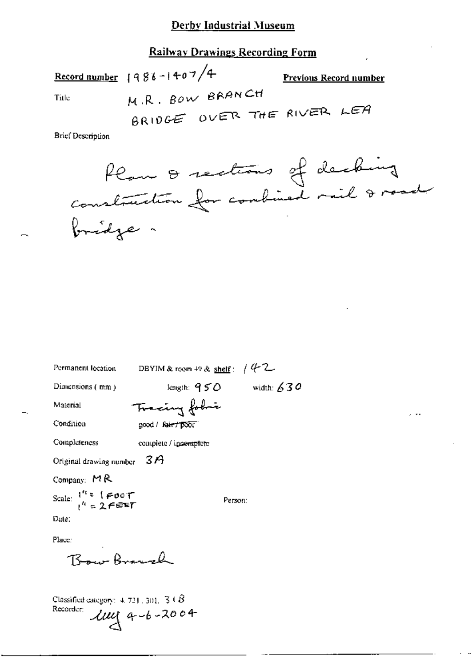# **Railway Drawings Recording Form**

Record number  $1986 - 1407/4$ **Previous Record number** M.R. BOW BRANCH Title BRIDGE OVER THE RIVER LEA **Brief Description** 

| Permanent location                                              | DBYIM & room $+9$ & shelf: $/4$ 2 |         |  |
|-----------------------------------------------------------------|-----------------------------------|---------|--|
| Dimensions (mm)                                                 | length: $950$ width: $630$        |         |  |
| Material                                                        | Tracing fobri                     |         |  |
| Condition                                                       | good / Raint poor                 |         |  |
| Completeness                                                    | complete / ipcomplete             |         |  |
| Original drawing number $3A$                                    |                                   |         |  |
| Company: $MR$                                                   |                                   |         |  |
| Scale: $1^{n}$ = $1 \neq 0$ of<br>$1^{n}$ = $2 \neq \text{eff}$ |                                   | Person: |  |
| Date:                                                           |                                   |         |  |
| Place:                                                          |                                   |         |  |
| Bow Branch                                                      |                                   |         |  |

Classified category:  $4.721$ , 301,  $3.18$  $2u$  4-6-2004 Recorder: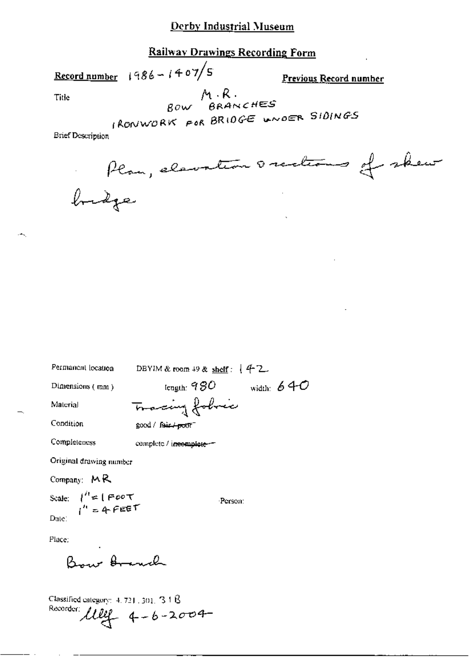# Railwav Drawings Recording Form

Record number  $1986 - 1407/S$  Previous Record number

 $\mathcal{A}_{\mathcal{A}}$ 

Title  $Bow$   $\begin{matrix} A & R \\ B & \end{matrix}$ 

 $1$ RONWORK FOR BRIOGE WNOER SIDINGS

| Brief Description |        |                                   |  |
|-------------------|--------|-----------------------------------|--|
|                   |        | Plan, elevation occidents of skew |  |
|                   | bridge |                                   |  |

| Permanent location                                                                  | DBYIM & room $+9$ & shelf: $+4$ 2. |              |
|-------------------------------------------------------------------------------------|------------------------------------|--------------|
| Dimensions (mm)                                                                     | length: $980\,$                    | width: $640$ |
| Material                                                                            | Tracing fobric                     |              |
| Condition                                                                           | $good /$ $fair + port^-$           |              |
| Completeness                                                                        | complete / incomplete-             |              |
| Original drawing number                                                             |                                    |              |
| Company: $M$ R                                                                      |                                    |              |
| Scale: $\int_{1}^{T} = 1 \text{ Poot} \tau$<br>$\int_{1}^{T} = 4 \text{ Peet} \tau$ | Person:                            |              |
| Date:                                                                               |                                    |              |
| Place:                                                                              |                                    |              |

Bow Arend

Classified category: 4, 721, 301, 318<br>Recorder:  $\mu_{q} = 6 - 2004$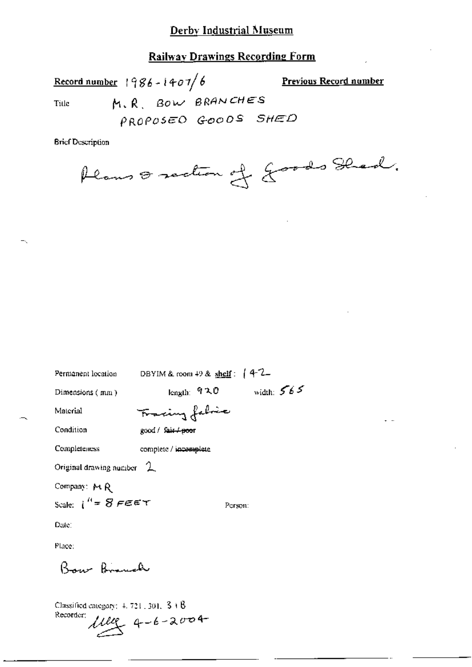**Railway Drawings Recording Form** 

Record number  $1986 - 1407/6$ **Previous Record number** M.R. BOW BRANCHES Title PROPOSED GOODS SHED

**Brief Description** 

Plans & section of Jords Shed.

| Permanent location            | DBYIM & room $+9$ & shelf: $\int 4-2$ |              |
|-------------------------------|---------------------------------------|--------------|
| Dimensions $(mn)$             | length: የኋዐ                           | width: $565$ |
| Material                      | Fracing fabric                        |              |
| Condition                     | good / Sair <del>/poo</del> r         |              |
| <b>Completeness</b>           | complete / incomplete                 |              |
| Original drawing number $2$   |                                       |              |
| Company: MR                   |                                       |              |
| Scale: $i^H = S$ $\in \infty$ |                                       | Person:      |
| Date:                         |                                       |              |
| Place:                        |                                       |              |
| Boar Brauch                   |                                       |              |
|                               |                                       |              |

Classified category:  $4.721 \pm 301$ ,  $3 \pm 8$ Recorder:  $11110 - 4 - 6 - 2004$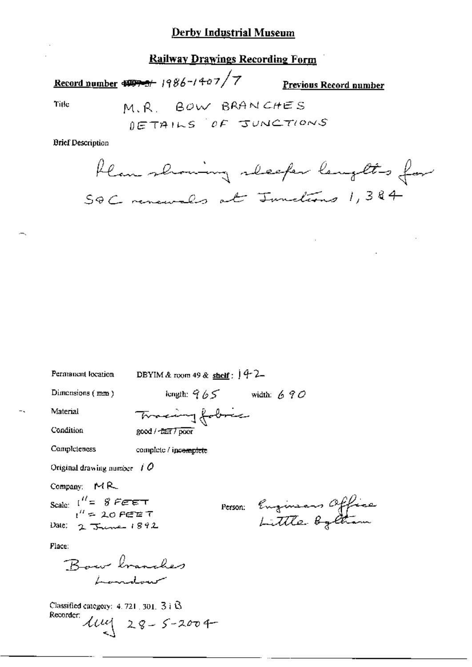### **Railway Drawings Recording Form**

# Record number  $\frac{1}{4}$  +  $\frac{1}{2}$  +  $\frac{1}{2}$  +  $\frac{1}{2}$  +  $\frac{1}{2}$  +  $\frac{1}{2}$  +  $\frac{1}{2}$  +  $\frac{1}{2}$  +  $\frac{1}{2}$  +  $\frac{1}{2}$  +  $\frac{1}{2}$  +  $\frac{1}{2}$  +  $\frac{1}{2}$  +  $\frac{1}{2}$  +  $\frac{1}{2}$  +  $\frac{1}{2}$  +  $\frac{1}{2}$  +  $\frac$

Previous Record number

Title

M.R. BOW BRANCHES DETAILS OF JUNCTIONS

**Brief Description** 

Hear showing sleeper lengths for SQC renewals at Junctions 1,384

length:  $965$  width:  $690$ Tracing fobric

DBYIM & room 49 & shelf:  $9 + 2$ 

Condition

Completeness

Material

Permanent location

Dimensions (mm)

good / *-fair* / poor

complete / incomplete

Original drawing number  $\#O$ 

Company: MR

Scale:  $I'' = 8$  FEET  $1'' = 20$  FEET

Date:  $2 \text{ Tunc} 1892$ 

Person: Engineers Office

Place:

Classified category:  $4.721 \pm 301$ ,  $3\pm\sqrt{3}$ Recorder:  $\mathcal{U} \iota \iota \iota \{-28 - 5 - 2004\}$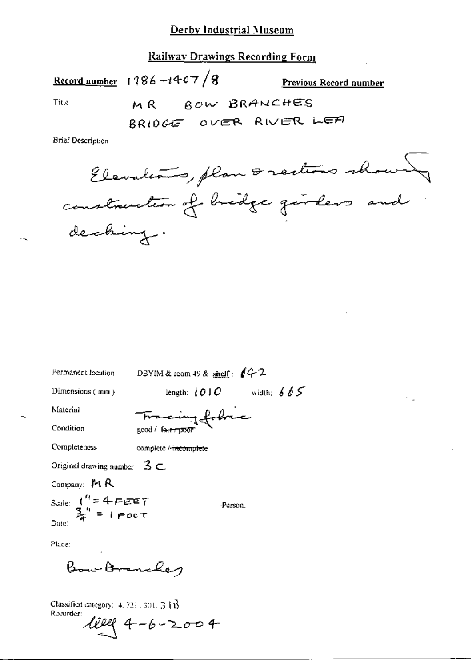## **Railway Drawings Recording Form**

Title

 $\sim$ 

Previous Record number

÷.

MR BOW BRANCHES

BRIDGE OVER RIVER LEA

**Brief Description** 

Record number 1986 -1407/8

 $\mathbf{z}$   $\mathbf{z}$ 

| Permanent location                                         | DBYIM & room 49 & shell: $/4$ 2  |              |
|------------------------------------------------------------|----------------------------------|--------------|
| Dimensions $(mn)$                                          | length: $\{O \: \: O\ $          | width: $665$ |
| Material                                                   |                                  |              |
| Condition                                                  | Francing follows                 |              |
| Completeness                                               | complete / <del>incomplete</del> |              |
| Original drawing number $3 \subset$                        |                                  |              |
| Company: $M R$                                             |                                  |              |
| Scale: $t'' = 4 \text{ F} \in T$<br>$\frac{3}{4}$<br>Date: |                                  | Person.      |
|                                                            |                                  |              |
| Place:<br>٠                                                |                                  |              |
|                                                            |                                  |              |

Bow Branches

Classified category:  $4.721$ , 301, 31 $\overrightarrow{B}$ Recorder:  $4 - 6 - 2004$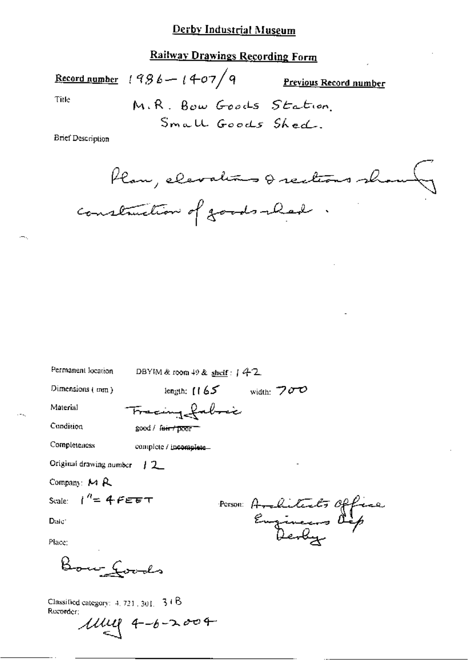# **Railway Drawings Recording Form**

Title

Previous Record number

M.R. Bow Goods Station Small Goods Shed.

**Brief Description** 

Record number  $1986 - 1407/9$ 

Plan, elevations & rections sh construction of goods-lead

| Permanent location |  |
|--------------------|--|

DBYIM & room  $49$  & shelf:  $742$ 

Dimensions (mm)

length;  $1165$  width:  $700$ 

Material

Tracing fabric

Condition

Completeness

complete / incomplete-

good / feir / poor =

Original drawing number  $\pm 2$ 

Company: MR

Scale:  $1^{\prime\prime} = 4$   $F \epsilon \epsilon \tau$ 

Date:

Place:

Bour Loods

Person Architects Office

Classified category:  $4, 721, 301, -31$  B Recorder:

 $11111$  4-6-2004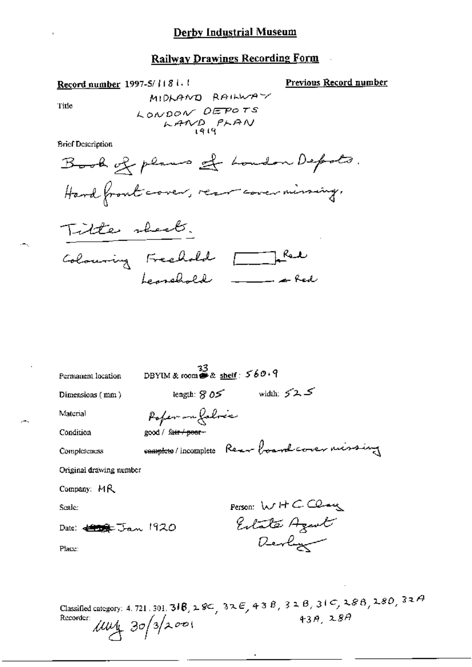# **Railway Drawings Recording Form**

Record number 1997-5/1181.1

Previous Record number

Title

MIDLAND RAILWAY LONDON DEPOTS LAND PLAN

**Brief Description** 

| Permanent location              | DBYIM & room $\overset{33}{\bullet}$ & shelf: 560.9 |                            |  |
|---------------------------------|-----------------------------------------------------|----------------------------|--|
| Dimensions $(mn)$               |                                                     | length: $805$ width: $525$ |  |
| Material                        | Poper - Lebres                                      |                            |  |
| Condition                       | good / fa <del>ir / poor -</del>                    |                            |  |
| Completeness                    | comptete/incomplete Rear board cover missing        |                            |  |
| Original drawing number         |                                                     |                            |  |
| Company: MR                     |                                                     |                            |  |
| Scale:                          |                                                     | Person: WHCClay            |  |
| Date: <del>(1956</del> Jan 1920 |                                                     | Estate Agent               |  |
| Place:                          |                                                     | Devly                      |  |
|                                 |                                                     |                            |  |
|                                 |                                                     |                            |  |

Classified category: 4.721.301.318, 28C, 32E, 43B, 32B, 31C, 28B, 28D, 32A<br>Recorder:  $\mu u_1$  30/3/2001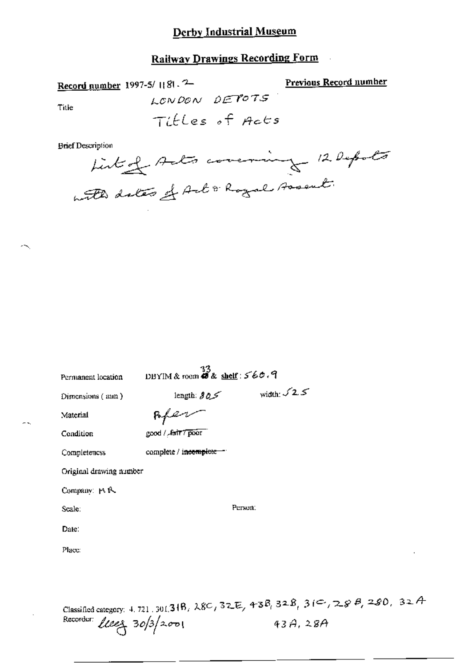### **Railway Drawings Recording Form**

Previous Record number

Record number 1997-5/1181.2-LONDON DETOTS Title

Tibles of Acts

**Brief Description** 



| Permanent location | $\frac{33}{28}$ DBYIM & room <b>48</b> & shelf : 5 60.9 |                     |  |  |  |
|--------------------|---------------------------------------------------------|---------------------|--|--|--|
| Dimensions (mm)    | length: $30\%$                                          | width: $\sqrt{2.5}$ |  |  |  |
| Material           | .5663                                                   |                     |  |  |  |
| Condition          | good / Jair 7 poor                                      |                     |  |  |  |
| Completencss       | complete / incomplete                                   |                     |  |  |  |
|                    | Original drawing namber                                 |                     |  |  |  |
| Company: Ft R.     |                                                         |                     |  |  |  |
| Scale:             |                                                         | Person:             |  |  |  |
| Date:              |                                                         |                     |  |  |  |
| Place:             |                                                         |                     |  |  |  |
|                    |                                                         |                     |  |  |  |
|                    |                                                         |                     |  |  |  |

Classified category: 4.721, 301, 318, 28C, 32E, 43B, 32B, 31C, 28B, 280, 32A Recorder: *Uses* 30/3/2001  $43A, 28A$